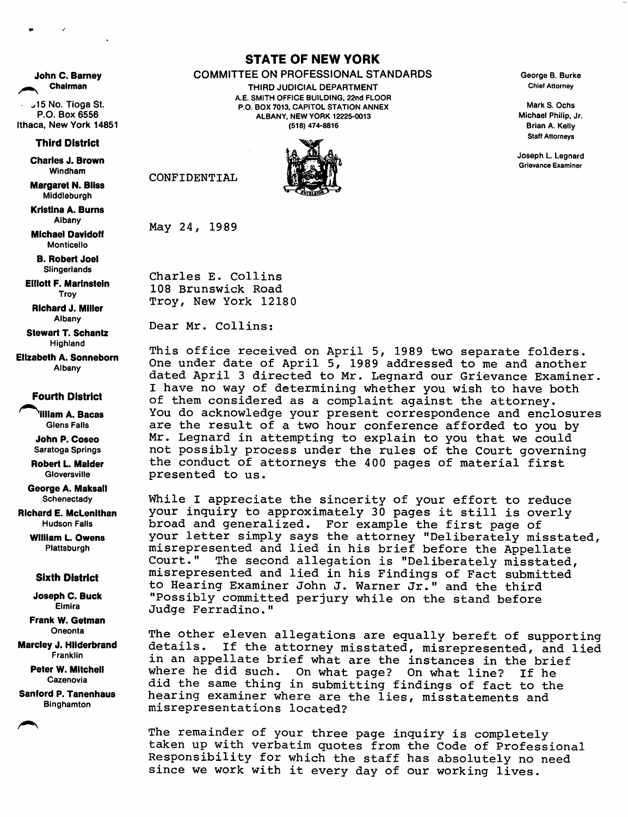John C. Barney Chairman

-r 15 No. Tioga St. P.O. Box 6556 Ithaca, New York 14851

**Third District** 

Charles J. Brown Windham

IMargaret N. Bliss Middleburgh

Kristina A. Burns Albany

**Michael Davidoff** Monticello

B. Robert Joel Slingerlands

Elliott F. Marinstein Troy

Richard J. Miller Albany

**Stewart T. Schantz** Highland

**Elizabeth A. Sonneborn** Albany

## **Fourth District**

^^^illlam A. Bacas Glens Falls

John P. Coseo Saratoga Springs

Robert L. Maider **Gloversville** 

George A. Maksall **Schenectady** 

Richard E. McLenithan Hudson Falls

> William L. Owens Plattsburgh

## **Sixth District**

Joseph C. Buck Elmira

Frank W. Getman Oneonta

Marcley J. Hllderbrand Franklin

> Peter W. Mitchell Cazenovia

Sanford P. Tanenhaus Binghamton

## **STATE OF NEW YORK**

## COMMITTEE ON PROFESSIONAL STANDARDS

THIRD JUDICIAL DEPARTMENT A.E. SMITH OFFICE BUILDING. 22nd FLOOR P.O. BOX 7013, CAPITOL STATION ANNEX ALBANY. NEW YORK 12225-0013 (518) 474-8816



CONFIDENTIAL

May 24, 1989

Charles E. Collins 108 Brunswick Road Troy, New York 12180

Dear Mr. Collins:

This office received on April 5, 1989 two separate folders. One under date of April 5, 1989 addressed to me and another dated April 3 directed to Mr. Leqnard our Grievance Examiner. I have no way of determining whether you wish to have both of them considered as a complaint against the attorney. You do acknowledge your present correspondence and enclosures are the result of a two hour conference afforded to you by Mr. Legnard in attempting to explain to you that we could not possibly process under the rules of the Court governing the conduct of attorneys the 400 pages of material first presented to us.

While I appreciate the sincerity of your effort to reduce your inquiry to approximately 30 pages it still is overly broad and generalized. For example the first page of your letter simply says the attorney "Deliberately misstated, misrepresented and lied in his brief before the Appellate Court." The second allegation is "Deliberately misstated, misrepresented and lied in his Findings of Fact submitted to Hearing Examiner John J. Warner Jr." and the third "Possibly committed perjury while on the stand before Judge Ferradino."

The other eleven allegations are equally bereft of supporting details. If the attorney misstated, misrepresented, and lied in an appellate brief what are the instances in the brief where he did such. On what page? On what line? If he did the same thing in submitting findings of fact to the hearing examiner where are the lies, misstatements and misrepresentations located?

The remainder of your three page inquiry is completely taken up with verbatim quotes from the Code of Professional Responsibility for which the staff has absolutely no need since we work with it every day of our working lives.

George 8. Burke Chief Attorney

Mark S. Ochs. Michael Philip. Jr. Brian A. Kelly Staff Attorneys

Joseph L. Legnard Grievance Examiner